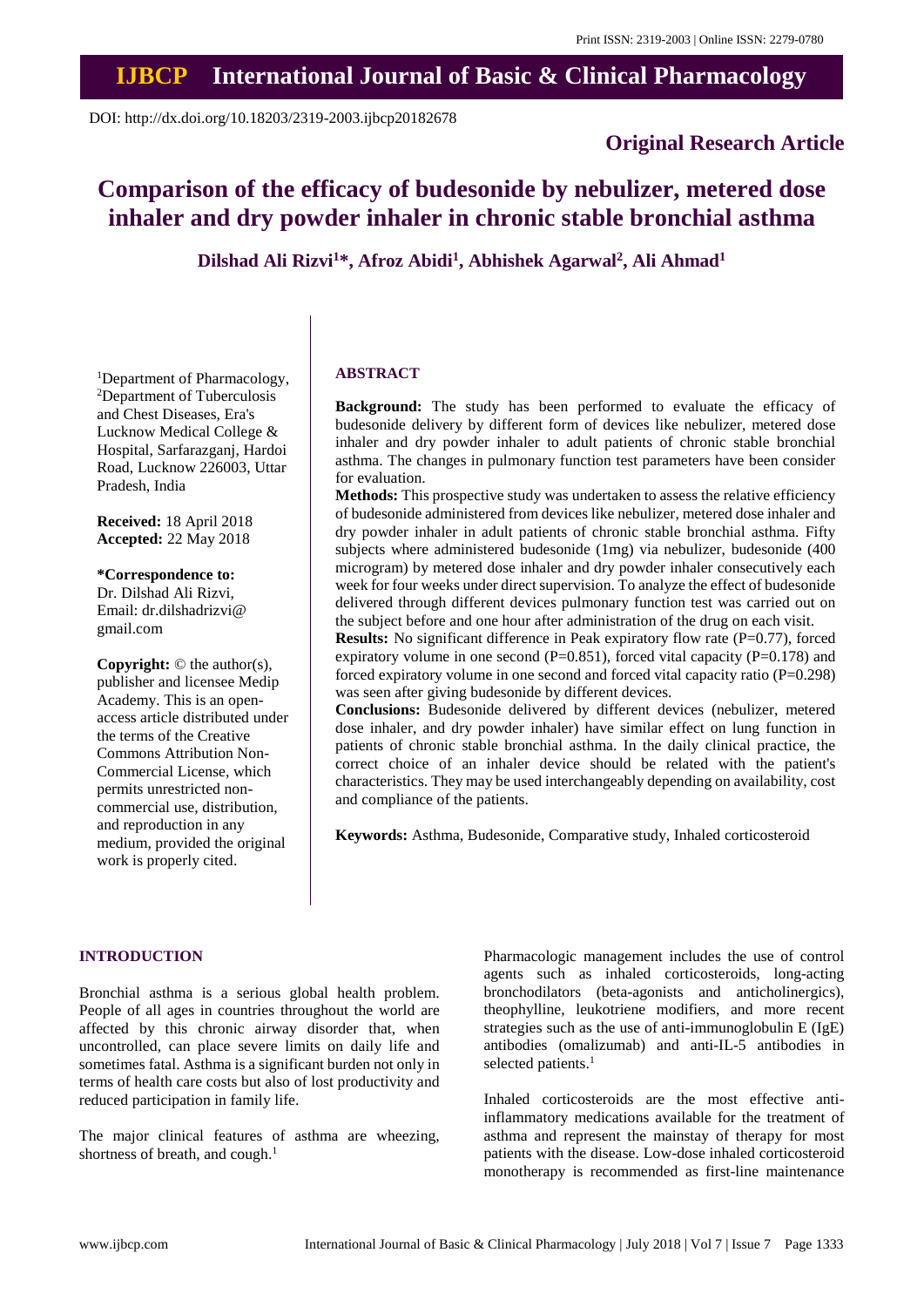## **IJBCP International Journal of Basic & Clinical Pharmacology**

DOI: http://dx.doi.org/10.18203/2319-2003.ijbcp20182678

### **Original Research Article**

# **Comparison of the efficacy of budesonide by nebulizer, metered dose inhaler and dry powder inhaler in chronic stable bronchial asthma**

**Dilshad Ali Rizvi<sup>1</sup>\*, Afroz Abidi<sup>1</sup> , Abhishek Agarwal<sup>2</sup> , Ali Ahmad<sup>1</sup>**

<sup>1</sup>Department of Pharmacology, <sup>2</sup>Department of Tuberculosis and Chest Diseases, Era's Lucknow Medical College & Hospital, Sarfarazganj, Hardoi Road, Lucknow 226003, Uttar Pradesh, India

**Received:** 18 April 2018 **Accepted:** 22 May 2018

**\*Correspondence to:**

Dr. Dilshad Ali Rizvi, Email: dr.dilshadrizvi@ gmail.com

**Copyright:** © the author(s), publisher and licensee Medip Academy. This is an openaccess article distributed under the terms of the Creative Commons Attribution Non-Commercial License, which permits unrestricted noncommercial use, distribution, and reproduction in any medium, provided the original work is properly cited.

#### **ABSTRACT**

**Background:** The study has been performed to evaluate the efficacy of budesonide delivery by different form of devices like nebulizer, metered dose inhaler and dry powder inhaler to adult patients of chronic stable bronchial asthma. The changes in pulmonary function test parameters have been consider for evaluation.

**Methods:** This prospective study was undertaken to assess the relative efficiency of budesonide administered from devices like nebulizer, metered dose inhaler and dry powder inhaler in adult patients of chronic stable bronchial asthma. Fifty subjects where administered budesonide (1mg) via nebulizer, budesonide (400 microgram) by metered dose inhaler and dry powder inhaler consecutively each week for four weeks under direct supervision. To analyze the effect of budesonide delivered through different devices pulmonary function test was carried out on the subject before and one hour after administration of the drug on each visit.

**Results:** No significant difference in Peak expiratory flow rate (P=0.77), forced expiratory volume in one second (P=0.851), forced vital capacity (P=0.178) and forced expiratory volume in one second and forced vital capacity ratio (P=0.298) was seen after giving budesonide by different devices.

**Conclusions:** Budesonide delivered by different devices (nebulizer, metered dose inhaler, and dry powder inhaler) have similar effect on lung function in patients of chronic stable bronchial asthma. In the daily clinical practice, the correct choice of an inhaler device should be related with the patient's characteristics. They may be used interchangeably depending on availability, cost and compliance of the patients.

**Keywords:** Asthma, Budesonide, Comparative study, Inhaled corticosteroid

#### **INTRODUCTION**

Bronchial asthma is a serious global health problem. People of all ages in countries throughout the world are affected by this chronic airway disorder that, when uncontrolled, can place severe limits on daily life and sometimes fatal. Asthma is a significant burden not only in terms of health care costs but also of lost productivity and reduced participation in family life.

The major clinical features of asthma are wheezing, shortness of breath, and cough[.](https://www.ncbi.nlm.nih.gov/pmc/articles/PMC3793433/) 1

Pharmacologic management includes the use of control agents such as inhaled corticosteroids, long-acting bronchodilators (beta-agonists and anticholinergics), theophylline, leukotriene modifiers, and more recent strategies such as the use of anti-immunoglobulin E (IgE) antibodies (omalizumab) and anti-IL-5 antibodies in selected patients. 1

Inhaled corticosteroids are the most effective antiinflammatory medications available for the treatment of asthma and represent the mainstay of therapy for most patients with the disease. Low-dose inhaled corticosteroid monotherapy is recommended as first-line maintenance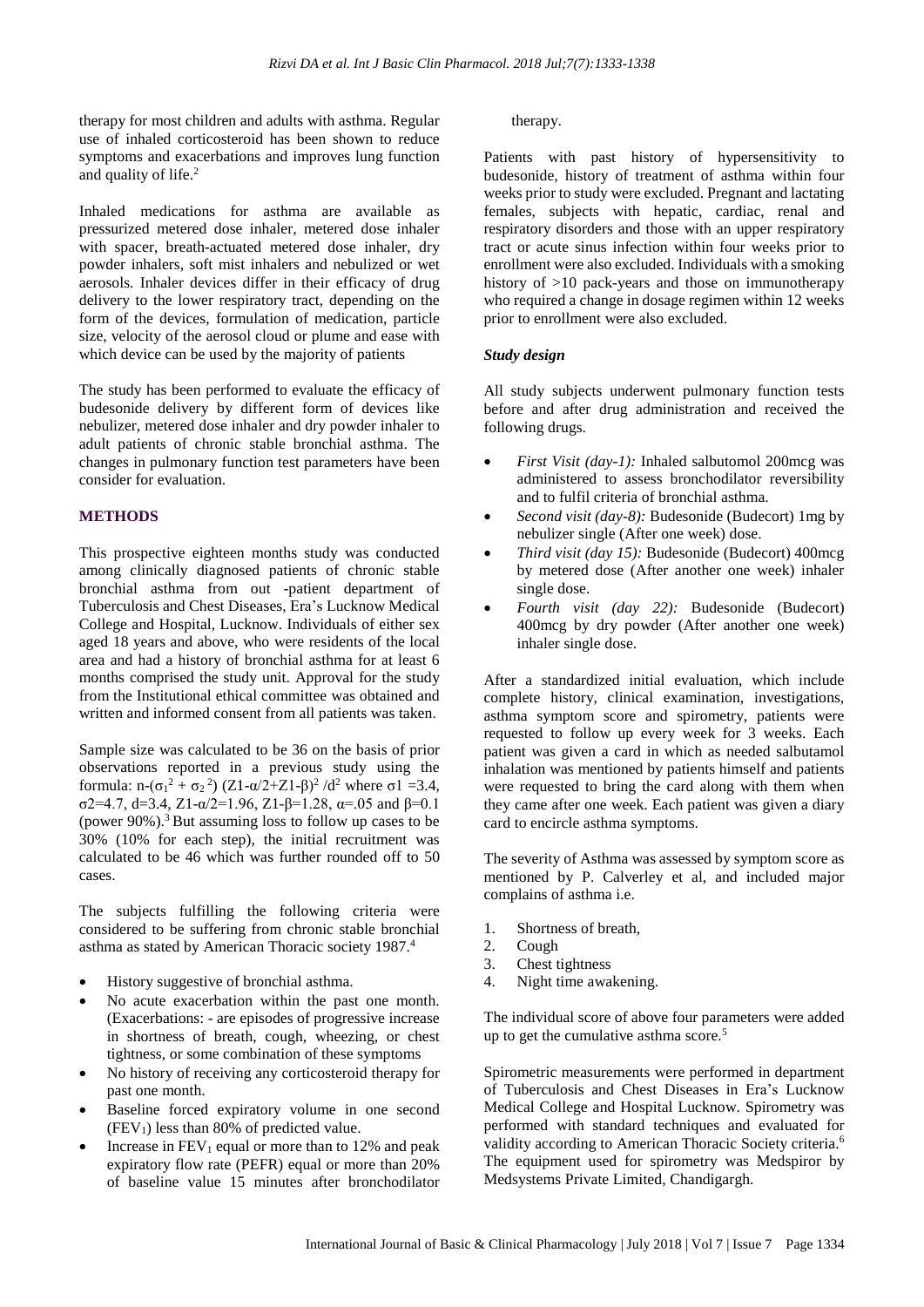therapy for most children and adults with asthma. Regular use of inhaled corticosteroid has been shown to reduce symptoms and exacerbations and improves lung function and quality of life. 2

Inhaled medications for asthma are available as pressurized metered dose inhaler, metered dose inhaler with spacer, breath-actuated metered dose inhaler, dry powder inhalers, soft mist inhalers and nebulized or wet aerosols. Inhaler devices differ in their efficacy of drug delivery to the lower respiratory tract, depending on the form of the devices, formulation of medication, particle size, velocity of the aerosol cloud or plume and ease with which device can be used by the majority of patients

The study has been performed to evaluate the efficacy of budesonide delivery by different form of devices like nebulizer, metered dose inhaler and dry powder inhaler to adult patients of chronic stable bronchial asthma. The changes in pulmonary function test parameters have been consider for evaluation.

#### **METHODS**

This prospective eighteen months study was conducted among clinically diagnosed patients of chronic stable bronchial asthma from out -patient department of Tuberculosis and Chest Diseases, Era's Lucknow Medical College and Hospital, Lucknow. Individuals of either sex aged 18 years and above, who were residents of the local area and had a history of bronchial asthma for at least 6 months comprised the study unit. Approval for the study from the Institutional ethical committee was obtained and written and informed consent from all patients was taken.

Sample size was calculated to be 36 on the basis of prior observations reported in a previous study using the formula: n-(σ<sub>1</sub><sup>2</sup> + σ<sub>2</sub><sup>2</sup>) (Z1-α/2+Z1-β)<sup>2</sup>/d<sup>2</sup> where σ1 =3.4, σ2=4.7, d=3.4, Z1-α/2=1.96, Z1-β=1.28, α=.05 and β=0.1 (power  $90\%$ ).<sup>3</sup> But assuming loss to follow up cases to be 30% (10% for each step), the initial recruitment was calculated to be 46 which was further rounded off to 50 cases.

The subjects fulfilling the following criteria were considered to be suffering from chronic stable bronchial asthma as stated by American Thoracic society 1987. 4

- History suggestive of bronchial asthma.
- No acute exacerbation within the past one month. (Exacerbations: - are episodes of progressive increase in shortness of breath, cough, wheezing, or chest tightness, or some combination of these symptoms
- No history of receiving any corticosteroid therapy for past one month.
- Baseline forced expiratory volume in one second  $(FEV<sub>1</sub>)$  less than 80% of predicted value.
- Increase in  $FEV_1$  equal or more than to 12% and peak expiratory flow rate (PEFR) equal or more than 20% of baseline value 15 minutes after bronchodilator

#### therapy.

Patients with past history of hypersensitivity to budesonide, history of treatment of asthma within four weeks prior to study were excluded. Pregnant and lactating females, subjects with hepatic, cardiac, renal and respiratory disorders and those with an upper respiratory tract or acute sinus infection within four weeks prior to enrollment were also excluded. Individuals with a smoking history of  $>10$  pack-years and those on immunotherapy who required a change in dosage regimen within 12 weeks prior to enrollment were also excluded.

#### *Study design*

All study subjects underwent pulmonary function tests before and after drug administration and received the following drugs.

- *First Visit (day-1):* Inhaled salbutomol 200mcg was administered to assess bronchodilator reversibility and to fulfil criteria of bronchial asthma.
- *Second visit (day-8):* Budesonide (Budecort) 1mg by nebulizer single (After one week) dose.
- *Third visit (day 15):* Budesonide (Budecort) 400mcg by metered dose (After another one week) inhaler single dose.
- *Fourth visit (day 22):* Budesonide (Budecort) 400mcg by dry powder (After another one week) inhaler single dose.

After a standardized initial evaluation, which include complete history, clinical examination, investigations, asthma symptom score and spirometry, patients were requested to follow up every week for 3 weeks. Each patient was given a card in which as needed salbutamol inhalation was mentioned by patients himself and patients were requested to bring the card along with them when they came after one week. Each patient was given a diary card to encircle asthma symptoms.

The severity of Asthma was assessed by symptom score as mentioned by P. Calverley et al, and included major complains of asthma i.e.

- 1. Shortness of breath,
- 2. Cough
- 3. Chest tightness
- 4. Night time awakening.

The individual score of above four parameters were added up to get the cumulative asthma score.<sup>5</sup>

Spirometric measurements were performed in department of Tuberculosis and Chest Diseases in Era's Lucknow Medical College and Hospital Lucknow. Spirometry was performed with standard techniques and evaluated for validity according to American Thoracic Society criteria.<sup>6</sup> The equipment used for spirometry was Medspiror by Medsystems Private Limited, Chandigargh.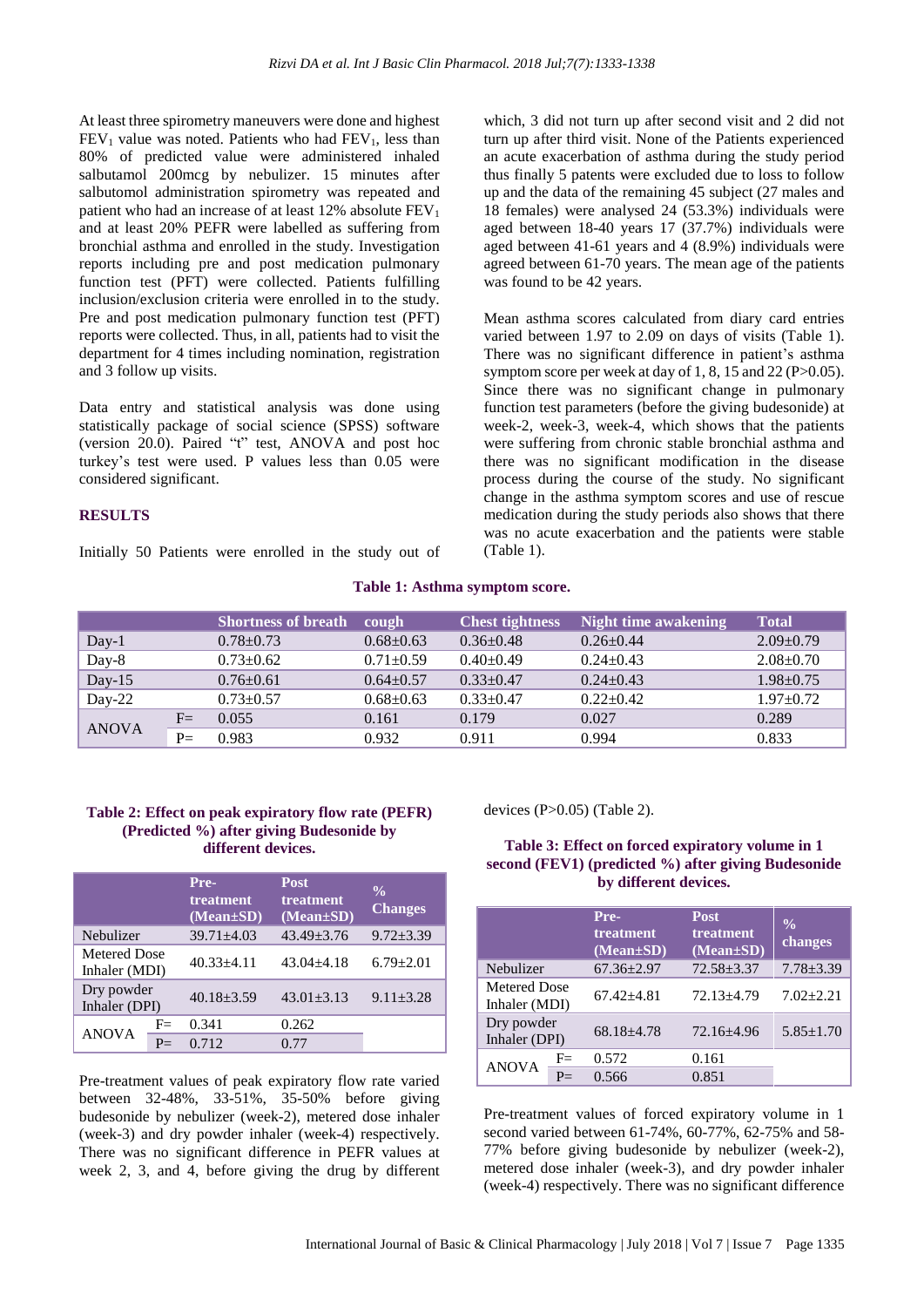At least three spirometry maneuvers were done and highest  $FEV<sub>1</sub>$  value was noted. Patients who had  $FEV<sub>1</sub>$ , less than 80% of predicted value were administered inhaled salbutamol 200mcg by nebulizer. 15 minutes after salbutomol administration spirometry was repeated and patient who had an increase of at least  $12\%$  absolute  $FEV<sub>1</sub>$ and at least 20% PEFR were labelled as suffering from bronchial asthma and enrolled in the study. Investigation reports including pre and post medication pulmonary function test (PFT) were collected. Patients fulfilling inclusion/exclusion criteria were enrolled in to the study. Pre and post medication pulmonary function test (PFT) reports were collected. Thus, in all, patients had to visit the department for 4 times including nomination, registration and 3 follow up visits.

Data entry and statistical analysis was done using statistically package of social science (SPSS) software (version 20.0). Paired "t" test, ANOVA and post hoc turkey's test were used. P values less than 0.05 were considered significant.

#### **RESULTS**

Initially 50 Patients were enrolled in the study out of

which, 3 did not turn up after second visit and 2 did not turn up after third visit. None of the Patients experienced an acute exacerbation of asthma during the study period thus finally 5 patents were excluded due to loss to follow up and the data of the remaining 45 subject (27 males and 18 females) were analysed 24 (53.3%) individuals were aged between 18-40 years 17 (37.7%) individuals were aged between 41-61 years and 4 (8.9%) individuals were agreed between 61-70 years. The mean age of the patients was found to be 42 years.

Mean asthma scores calculated from diary card entries varied between 1.97 to 2.09 on days of visits (Table 1). There was no significant difference in patient's asthma symptom score per week at day of 1, 8, 15 and 22 (P>0.05). Since there was no significant change in pulmonary function test parameters (before the giving budesonide) at week-2, week-3, week-4, which shows that the patients were suffering from chronic stable bronchial asthma and there was no significant modification in the disease process during the course of the study. No significant change in the asthma symptom scores and use of rescue medication during the study periods also shows that there was no acute exacerbation and the patients were stable (Table 1).

#### **Table 1: Asthma symptom score.**

|              |              | <b>Shortness of breath</b> | cough         | <b>Chest tightness</b> | <b>Night time awakening</b> | <b>Total</b>    |
|--------------|--------------|----------------------------|---------------|------------------------|-----------------------------|-----------------|
| Day-1        |              | $0.78 + 0.73$              | $0.68 + 0.63$ | $0.36 \pm 0.48$        | $0.26 + 0.44$               | $2.09 + 0.79$   |
| Day-8        |              | $0.73 \pm 0.62$            | $0.71 + 0.59$ | $0.40 \pm 0.49$        | $0.24 + 0.43$               | $2.08 \pm 0.70$ |
| Day- $15$    |              | $0.76 \pm 0.61$            | $0.64 + 0.57$ | $0.33+0.47$            | $0.24 + 0.43$               | $1.98 + 0.75$   |
| $Day-22$     |              | $0.73 \pm 0.57$            | $0.68 + 0.63$ | $0.33+0.47$            | $0.22 + 0.42$               | $1.97+0.72$     |
| <b>ANOVA</b> | $F=$         | 0.055                      | 0.161         | 0.179                  | 0.027                       | 0.289           |
|              | $P_{\equiv}$ | 0.983                      | 0.932         | 0.911                  | 0.994                       | 0.833           |

#### **Table 2: Effect on peak expiratory flow rate (PEFR) (Predicted %) after giving Budesonide by different devices.**

|                               |      | Pre-<br>treatment<br>$(Mean \pm SD)$ | <b>Post</b><br>treatment<br>$(Mean \pm SD)$ | $\frac{0}{0}$<br><b>Changes</b> |
|-------------------------------|------|--------------------------------------|---------------------------------------------|---------------------------------|
| Nebulizer                     |      | $39.71 + 4.03$                       | $43.49 + 3.76$                              | $9.72 + 3.39$                   |
| Metered Dose<br>Inhaler (MDI) |      | $40.33 \pm 4.11$                     | $43.04 + 4.18$                              | $6.79 + 2.01$                   |
| Dry powder<br>Inhaler (DPI)   |      | $40.18 + 3.59$                       | $43.01 + 3.13$                              | $9.11 + 3.28$                   |
| <b>ANOVA</b>                  | $F=$ | 0.341                                | 0.262                                       |                                 |
|                               | $P=$ | 0.712                                | 0.77                                        |                                 |

Pre-treatment values of peak expiratory flow rate varied between 32-48%, 33-51%, 35-50% before giving budesonide by nebulizer (week-2), metered dose inhaler (week-3) and dry powder inhaler (week-4) respectively. There was no significant difference in PEFR values at week 2, 3, and 4, before giving the drug by different devices (P>0.05) (Table 2).

#### **Table 3: Effect on forced expiratory volume in 1 second (FEV1) (predicted %) after giving Budesonide by different devices.**

|                               |      | Pre-<br>treatment<br>$(Mean \pm SD)$ | <b>Post</b><br>treatment<br>$(Mean \pm SD)$ | $\frac{0}{0}$<br>changes |
|-------------------------------|------|--------------------------------------|---------------------------------------------|--------------------------|
| Nebulizer                     |      | $67.36 \pm 2.97$                     | $72.58 \pm 3.37$                            | $7.78 \pm 3.39$          |
| Metered Dose<br>Inhaler (MDI) |      | $67.42 + 4.81$                       | 72.13+4.79                                  | $7.02 + 2.21$            |
| Dry powder<br>Inhaler (DPI)   |      | 68.18+4.78                           | 72.16+4.96                                  | $5.85 \pm 1.70$          |
| <b>ANOVA</b>                  | $F=$ | 0.572                                | 0.161                                       |                          |
|                               |      | 0.566                                | 0.851                                       |                          |

Pre-treatment values of forced expiratory volume in 1 second varied between 61-74%, 60-77%, 62-75% and 58- 77% before giving budesonide by nebulizer (week-2), metered dose inhaler (week-3), and dry powder inhaler (week-4) respectively. There was no significant difference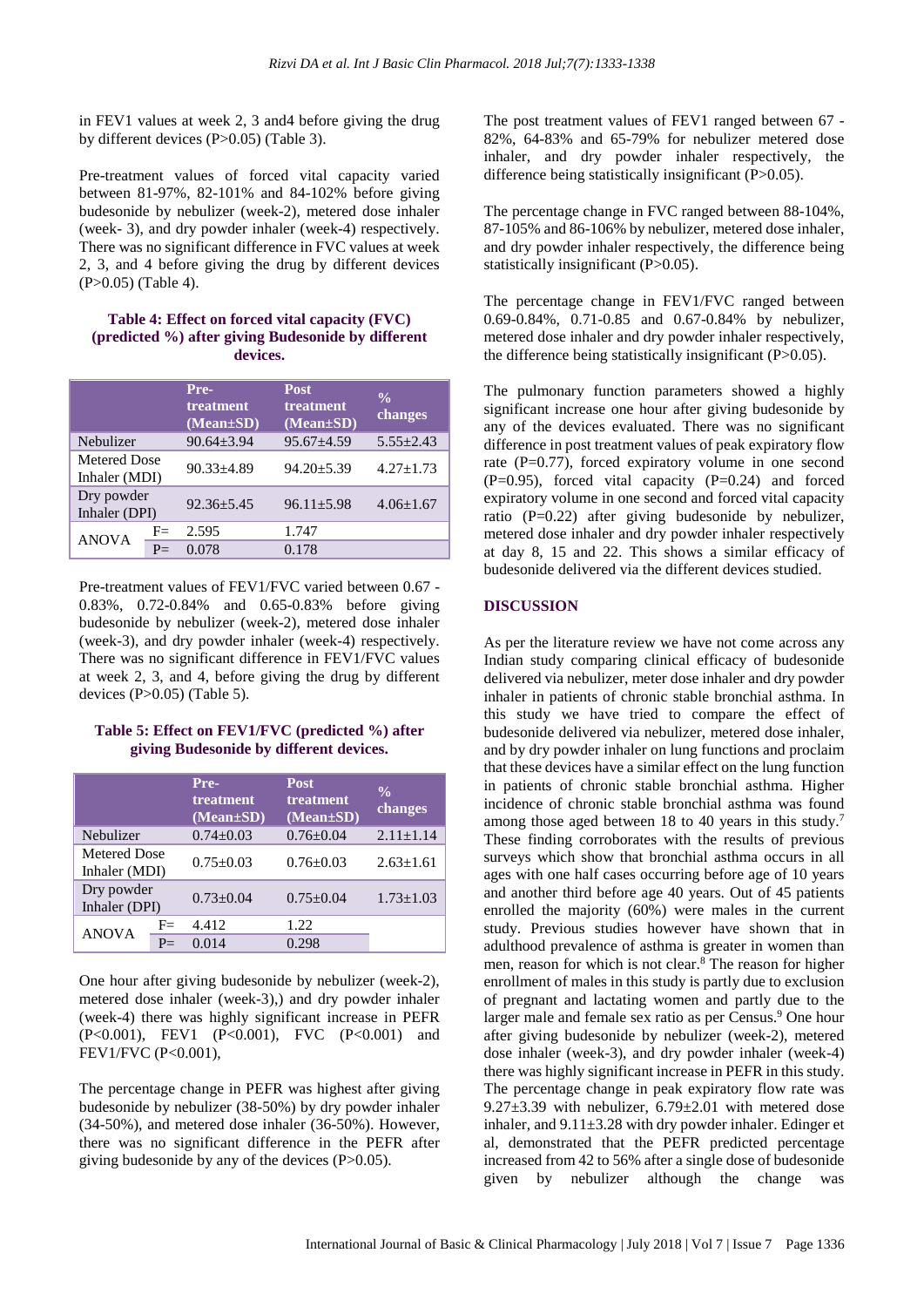in FEV1 values at week 2, 3 and4 before giving the drug by different devices (P>0.05) (Table 3).

Pre-treatment values of forced vital capacity varied between 81-97%, 82-101% and 84-102% before giving budesonide by nebulizer (week-2), metered dose inhaler (week- 3), and dry powder inhaler (week-4) respectively. There was no significant difference in FVC values at week 2, 3, and 4 before giving the drug by different devices (P>0.05) (Table 4).

#### **Table 4: Effect on forced vital capacity (FVC) (predicted %) after giving Budesonide by different devices.**

|                               |      | Pre-<br>treatment<br>$(Mean \pm SD)$ | <b>Post</b><br>treatment<br>$(Mean \pm SD)$ | $\frac{0}{0}$<br>changes |
|-------------------------------|------|--------------------------------------|---------------------------------------------|--------------------------|
| Nebulizer                     |      | $90.64 + 3.94$                       | $95.67 + 4.59$                              | $5.55 + 2.43$            |
| Metered Dose<br>Inhaler (MDI) |      | $90.33 + 4.89$                       | $94.20 + 5.39$                              | $4.27 + 1.73$            |
| Dry powder<br>Inhaler (DPI)   |      | $92.36 + 5.45$                       | $96.11 + 5.98$                              | $4.06 \pm 1.67$          |
| <b>ANOVA</b>                  | $F=$ | 2.595                                | 1.747                                       |                          |
|                               | $P=$ | 0.078                                | 0.178                                       |                          |

Pre-treatment values of FEV1/FVC varied between 0.67 - 0.83%, 0.72-0.84% and 0.65-0.83% before giving budesonide by nebulizer (week-2), metered dose inhaler (week-3), and dry powder inhaler (week-4) respectively. There was no significant difference in FEV1/FVC values at week 2, 3, and 4, before giving the drug by different devices (P>0.05) (Table 5).

**Table 5: Effect on FEV1/FVC (predicted %) after giving Budesonide by different devices.**

|                               |              | Pre-<br>treatment<br>$(Mean \pm SD)$ | <b>Post</b><br>treatment<br>$(Mean \pm SD)$ | $\frac{0}{0}$<br>changes |
|-------------------------------|--------------|--------------------------------------|---------------------------------------------|--------------------------|
| Nebulizer                     |              | $0.74 + 0.03$                        | $0.76 + 0.04$                               | $2.11 \pm 1.14$          |
| Metered Dose<br>Inhaler (MDI) |              | $0.75 + 0.03$                        | $0.76 + 0.03$                               | $2.63 + 1.61$            |
| Dry powder<br>Inhaler (DPI)   |              | $0.73 + 0.04$                        | $0.75 + 0.04$                               | $1.73 + 1.03$            |
| <b>ANOVA</b>                  | $F=$         | 4.412                                | 1.22                                        |                          |
|                               | $P_{\equiv}$ | 0.014                                | 0.298                                       |                          |

One hour after giving budesonide by nebulizer (week-2), metered dose inhaler (week-3),) and dry powder inhaler (week-4) there was highly significant increase in PEFR (P<0.001), FEV1 (P<0.001), FVC (P<0.001) and FEV1/FVC (P<0.001),

The percentage change in PEFR was highest after giving budesonide by nebulizer (38-50%) by dry powder inhaler (34-50%), and metered dose inhaler (36-50%). However, there was no significant difference in the PEFR after giving budesonide by any of the devices (P>0.05).

The post treatment values of FEV1 ranged between 67 - 82%, 64-83% and 65-79% for nebulizer metered dose inhaler, and dry powder inhaler respectively, the difference being statistically insignificant (P>0.05).

The percentage change in FVC ranged between 88-104%, 87-105% and 86-106% by nebulizer, metered dose inhaler, and dry powder inhaler respectively, the difference being statistically insignificant (P>0.05).

The percentage change in FEV1/FVC ranged between 0.69-0.84%, 0.71-0.85 and 0.67-0.84% by nebulizer, metered dose inhaler and dry powder inhaler respectively, the difference being statistically insignificant  $(P>0.05)$ .

The pulmonary function parameters showed a highly significant increase one hour after giving budesonide by any of the devices evaluated. There was no significant difference in post treatment values of peak expiratory flow rate (P=0.77), forced expiratory volume in one second  $(P=0.95)$ , forced vital capacity  $(P=0.24)$  and forced expiratory volume in one second and forced vital capacity ratio  $(P=0.22)$  after giving budesonide by nebulizer, metered dose inhaler and dry powder inhaler respectively at day 8, 15 and 22. This shows a similar efficacy of budesonide delivered via the different devices studied.

#### **DISCUSSION**

As per the literature review we have not come across any Indian study comparing clinical efficacy of budesonide delivered via nebulizer, meter dose inhaler and dry powder inhaler in patients of chronic stable bronchial asthma. In this study we have tried to compare the effect of budesonide delivered via nebulizer, metered dose inhaler, and by dry powder inhaler on lung functions and proclaim that these devices have a similar effect on the lung function in patients of chronic stable bronchial asthma. Higher incidence of chronic stable bronchial asthma was found among those aged between 18 to 40 years in this study.<sup>7</sup> These finding corroborates with the results of previous surveys which show that bronchial asthma occurs in all ages with one half cases occurring before age of 10 years and another third before age 40 years. Out of 45 patients enrolled the majority (60%) were males in the current study. Previous studies however have shown that in adulthood prevalence of asthma is greater in women than men, reason for which is not clear.<sup>8</sup> The reason for higher enrollment of males in this study is partly due to exclusion of pregnant and lactating women and partly due to the larger male and female sex ratio as per Census.<sup>9</sup> One hour after giving budesonide by nebulizer (week-2), metered dose inhaler (week-3), and dry powder inhaler (week-4) there was highly significant increase in PEFR in this study. The percentage change in peak expiratory flow rate was  $9.27\pm3.39$  with nebulizer,  $6.79\pm2.01$  with metered dose inhaler, and 9.11±3.28 with dry powder inhaler. Edinger et al, demonstrated that the PEFR predicted percentage increased from 42 to 56% after a single dose of budesonide given by nebulizer although the change was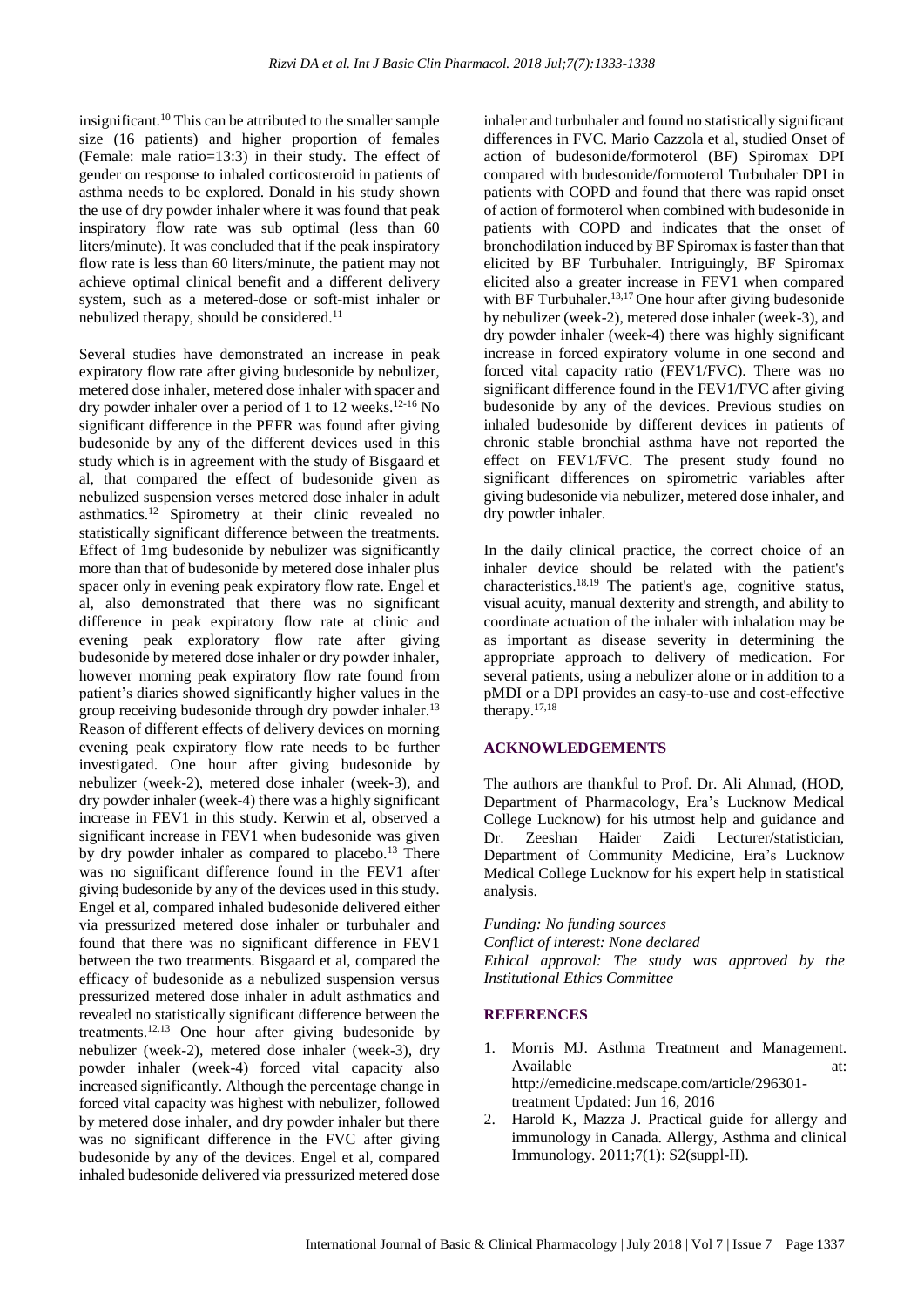insignificant.<sup>10</sup> This can be attributed to the smaller sample size (16 patients) and higher proportion of females (Female: male ratio=13:3) in their study. The effect of gender on response to inhaled corticosteroid in patients of asthma needs to be explored. Donald in his study shown the use of dry powder inhaler where it was found that peak inspiratory flow rate was sub optimal (less than 60 liters/minute). It was concluded that if the peak inspiratory flow rate is less than 60 liters/minute, the patient may not achieve optimal clinical benefit and a different delivery system, such as a metered-dose or soft-mist inhaler or nebulized therapy, should be considered.<sup>11</sup>

Several studies have demonstrated an increase in peak expiratory flow rate after giving budesonide by nebulizer, metered dose inhaler, metered dose inhaler with spacer and dry powder inhaler over a period of 1 to 12 weeks.<sup>12-16</sup> No significant difference in the PEFR was found after giving budesonide by any of the different devices used in this study which is in agreement with the study of Bisgaard et al, that compared the effect of budesonide given as nebulized suspension verses metered dose inhaler in adult asthmatics.<sup>12</sup> Spirometry at their clinic revealed no statistically significant difference between the treatments. Effect of 1mg budesonide by nebulizer was significantly more than that of budesonide by metered dose inhaler plus spacer only in evening peak expiratory flow rate. Engel et al, also demonstrated that there was no significant difference in peak expiratory flow rate at clinic and evening peak exploratory flow rate after giving budesonide by metered dose inhaler or dry powder inhaler, however morning peak expiratory flow rate found from patient's diaries showed significantly higher values in the group receiving budesonide through dry powder inhaler.<sup>13</sup> Reason of different effects of delivery devices on morning evening peak expiratory flow rate needs to be further investigated. One hour after giving budesonide by nebulizer (week-2), metered dose inhaler (week-3), and dry powder inhaler (week-4) there was a highly significant increase in FEV1 in this study. Kerwin et al, observed a significant increase in FEV1 when budesonide was given by dry powder inhaler as compared to placebo.<sup>13</sup> There was no significant difference found in the FEV1 after giving budesonide by any of the devices used in this study. Engel et al, compared inhaled budesonide delivered either via pressurized metered dose inhaler or turbuhaler and found that there was no significant difference in FEV1 between the two treatments. Bisgaard et al, compared the efficacy of budesonide as a nebulized suspension versus pressurized metered dose inhaler in adult asthmatics and revealed no statistically significant difference between the treatments.12.13 One hour after giving budesonide by nebulizer (week-2), metered dose inhaler (week-3), dry powder inhaler (week-4) forced vital capacity also increased significantly. Although the percentage change in forced vital capacity was highest with nebulizer, followed by metered dose inhaler, and dry powder inhaler but there was no significant difference in the FVC after giving budesonide by any of the devices. Engel et al, compared inhaled budesonide delivered via pressurized metered dose inhaler and turbuhaler and found no statistically significant differences in FVC. Mario Cazzola et al, studied Onset of action of budesonide/formoterol (BF) Spiromax DPI compared with budesonide/formoterol Turbuhaler DPI in patients with COPD and found that there was rapid onset of action of formoterol when combined with budesonide in patients with COPD and indicates that the onset of bronchodilation induced by BF Spiromax isfaster than that elicited by BF Turbuhaler. Intriguingly, BF Spiromax elicited also a greater increase in FEV1 when compared with BF Turbuhaler.<sup>13,17</sup> One hour after giving budesonide by nebulizer (week-2), metered dose inhaler (week-3), and dry powder inhaler (week-4) there was highly significant increase in forced expiratory volume in one second and forced vital capacity ratio (FEV1/FVC). There was no significant difference found in the FEV1/FVC after giving budesonide by any of the devices. Previous studies on inhaled budesonide by different devices in patients of chronic stable bronchial asthma have not reported the effect on FEV1/FVC. The present study found no significant differences on spirometric variables after giving budesonide via nebulizer, metered dose inhaler, and dry powder inhaler.

In the daily clinical practice, the correct choice of an inhaler device should be related with the patient's characteristics. 18,19 The patient's age, cognitive status, visual acuity, manual dexterity and strength, and ability to coordinate actuation of the inhaler with inhalation may be as important as disease severity in determining the appropriate approach to delivery of medication. For several patients, using a nebulizer alone or in addition to a pMDI or a DPI provides an easy-to-use and cost-effective therapy. 17,18

#### **ACKNOWLEDGEMENTS**

The authors are thankful to Prof. Dr. Ali Ahmad, (HOD, Department of Pharmacology, Era's Lucknow Medical College Lucknow) for his utmost help and guidance and Dr. Zeeshan Haider Zaidi Lecturer/statistician, Department of Community Medicine, Era's Lucknow Medical College Lucknow for his expert help in statistical analysis.

*Funding: No funding sources Conflict of interest: None declared Ethical approval: The study was approved by the Institutional Ethics Committee*

#### **REFERENCES**

- 1. Morris MJ. Asthma Treatment and Management. Available at: at: http://emedicine.medscape.com/article/296301 treatment Updated: Jun 16, 2016
- 2. Harold K, Mazza J. Practical guide for allergy and immunology in Canada. Allergy, Asthma and clinical Immunology. 2011;7(1): S2(suppl-II).